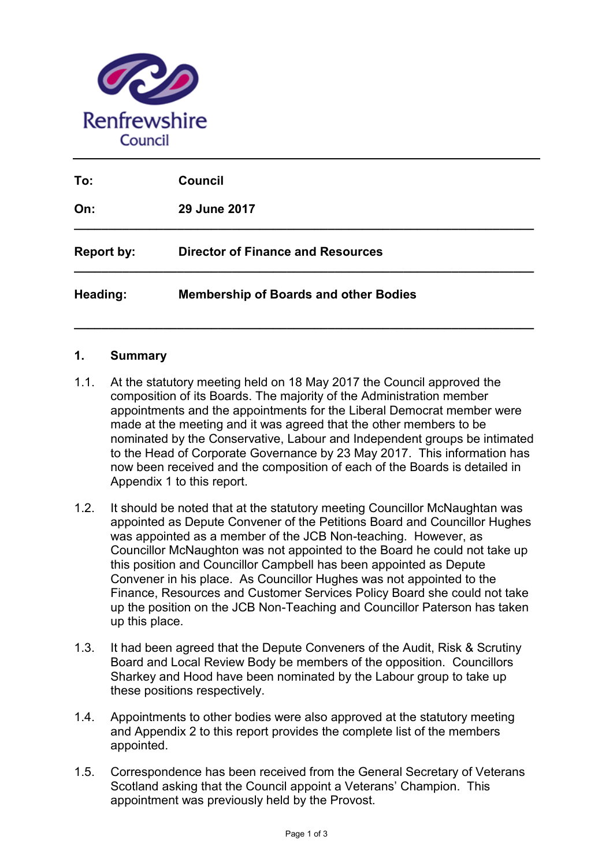

| To:               | <b>Council</b>                               |
|-------------------|----------------------------------------------|
| On:               | 29 June 2017                                 |
| <b>Report by:</b> | <b>Director of Finance and Resources</b>     |
| Heading:          | <b>Membership of Boards and other Bodies</b> |

**\_\_\_\_\_\_\_\_\_\_\_\_\_\_\_\_\_\_\_\_\_\_\_\_\_\_\_\_\_\_\_\_\_\_\_\_\_\_\_\_\_\_\_\_\_\_\_\_\_\_\_\_\_\_\_\_\_\_\_\_\_\_\_\_\_\_\_**

## **1. Summary**

- 1.1. At the statutory meeting held on 18 May 2017 the Council approved the composition of its Boards. The majority of the Administration member appointments and the appointments for the Liberal Democrat member were made at the meeting and it was agreed that the other members to be nominated by the Conservative, Labour and Independent groups be intimated to the Head of Corporate Governance by 23 May 2017. This information has now been received and the composition of each of the Boards is detailed in Appendix 1 to this report.
- 1.2. It should be noted that at the statutory meeting Councillor McNaughtan was appointed as Depute Convener of the Petitions Board and Councillor Hughes was appointed as a member of the JCB Non-teaching. However, as Councillor McNaughton was not appointed to the Board he could not take up this position and Councillor Campbell has been appointed as Depute Convener in his place. As Councillor Hughes was not appointed to the Finance, Resources and Customer Services Policy Board she could not take up the position on the JCB Non-Teaching and Councillor Paterson has taken up this place.
- 1.3. It had been agreed that the Depute Conveners of the Audit, Risk & Scrutiny Board and Local Review Body be members of the opposition. Councillors Sharkey and Hood have been nominated by the Labour group to take up these positions respectively.
- 1.4. Appointments to other bodies were also approved at the statutory meeting and Appendix 2 to this report provides the complete list of the members appointed.
- 1.5. Correspondence has been received from the General Secretary of Veterans Scotland asking that the Council appoint a Veterans' Champion. This appointment was previously held by the Provost.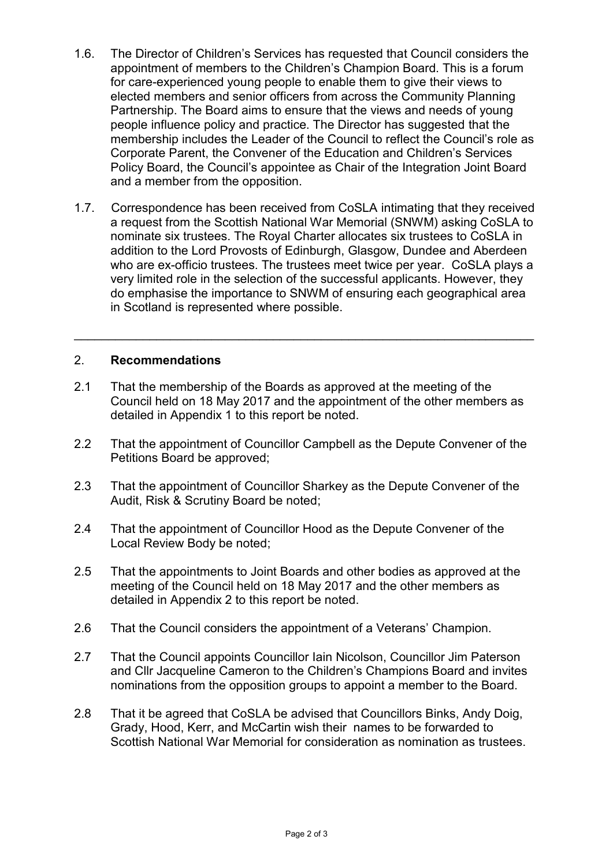- 1.6. The Director of Children's Services has requested that Council considers the appointment of members to the Children's Champion Board. This is a forum for care-experienced young people to enable them to give their views to elected members and senior officers from across the Community Planning Partnership. The Board aims to ensure that the views and needs of young people influence policy and practice. The Director has suggested that the membership includes the Leader of the Council to reflect the Council's role as Corporate Parent, the Convener of the Education and Children's Services Policy Board, the Council's appointee as Chair of the Integration Joint Board and a member from the opposition.
- 1.7. Correspondence has been received from CoSLA intimating that they received a request from the Scottish National War Memorial (SNWM) asking CoSLA to nominate six trustees. The Royal Charter allocates six trustees to CoSLA in addition to the Lord Provosts of Edinburgh, Glasgow, Dundee and Aberdeen who are ex-officio trustees. The trustees meet twice per year. CoSLA plays a very limited role in the selection of the successful applicants. However, they do emphasise the importance to SNWM of ensuring each geographical area in Scotland is represented where possible.

 $\overline{\phantom{a}}$  , and the contribution of the contribution of the contribution of the contribution of the contribution of the contribution of the contribution of the contribution of the contribution of the contribution of the

## 2. **Recommendations**

- 2.1 That the membership of the Boards as approved at the meeting of the Council held on 18 May 2017 and the appointment of the other members as detailed in Appendix 1 to this report be noted.
- 2.2 That the appointment of Councillor Campbell as the Depute Convener of the Petitions Board be approved;
- 2.3 That the appointment of Councillor Sharkey as the Depute Convener of the Audit, Risk & Scrutiny Board be noted;
- 2.4 That the appointment of Councillor Hood as the Depute Convener of the Local Review Body be noted;
- 2.5 That the appointments to Joint Boards and other bodies as approved at the meeting of the Council held on 18 May 2017 and the other members as detailed in Appendix 2 to this report be noted.
- 2.6 That the Council considers the appointment of a Veterans' Champion.
- 2.7 That the Council appoints Councillor Iain Nicolson, Councillor Jim Paterson and Cllr Jacqueline Cameron to the Children's Champions Board and invites nominations from the opposition groups to appoint a member to the Board.
- 2.8 That it be agreed that CoSLA be advised that Councillors Binks, Andy Doig, Grady, Hood, Kerr, and McCartin wish their names to be forwarded to Scottish National War Memorial for consideration as nomination as trustees.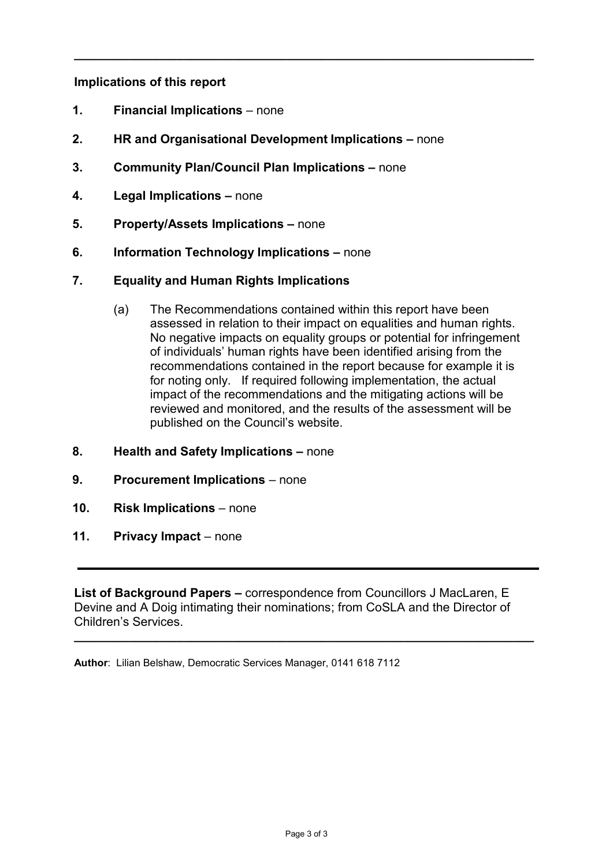## **Implications of this report**

- **1. Financial Implications** none
- **2. HR and Organisational Development Implications –** none

**\_\_\_\_\_\_\_\_\_\_\_\_\_\_\_\_\_\_\_\_\_\_\_\_\_\_\_\_\_\_\_\_\_\_\_\_\_\_\_\_\_\_\_\_\_\_\_\_\_\_\_\_\_\_\_\_\_\_\_\_\_\_\_\_\_\_\_**

- **3. Community Plan/Council Plan Implications –** none
- **4. Legal Implications –** none
- **5. Property/Assets Implications –** none
- **6. Information Technology Implications –** none
- **7. Equality and Human Rights Implications** 
	- (a) The Recommendations contained within this report have been assessed in relation to their impact on equalities and human rights. No negative impacts on equality groups or potential for infringement of individuals' human rights have been identified arising from the recommendations contained in the report because for example it is for noting only. If required following implementation, the actual impact of the recommendations and the mitigating actions will be reviewed and monitored, and the results of the assessment will be published on the Council's website.
- **8. Health and Safety Implications –** none
- **9. Procurement Implications** none
- **10. Risk Implications** none
- **11. Privacy Impact** none

**List of Background Papers –** correspondence from Councillors J MacLaren, E Devine and A Doig intimating their nominations; from CoSLA and the Director of Children's Services.

**\_\_\_\_\_\_\_\_\_\_\_\_\_\_\_\_\_\_\_\_\_\_\_\_\_\_\_\_\_\_\_\_\_\_\_\_\_\_\_\_\_\_\_\_\_\_\_\_\_\_\_\_\_\_\_\_\_\_\_\_\_\_\_\_\_\_\_**

**Author**: Lilian Belshaw, Democratic Services Manager, 0141 618 7112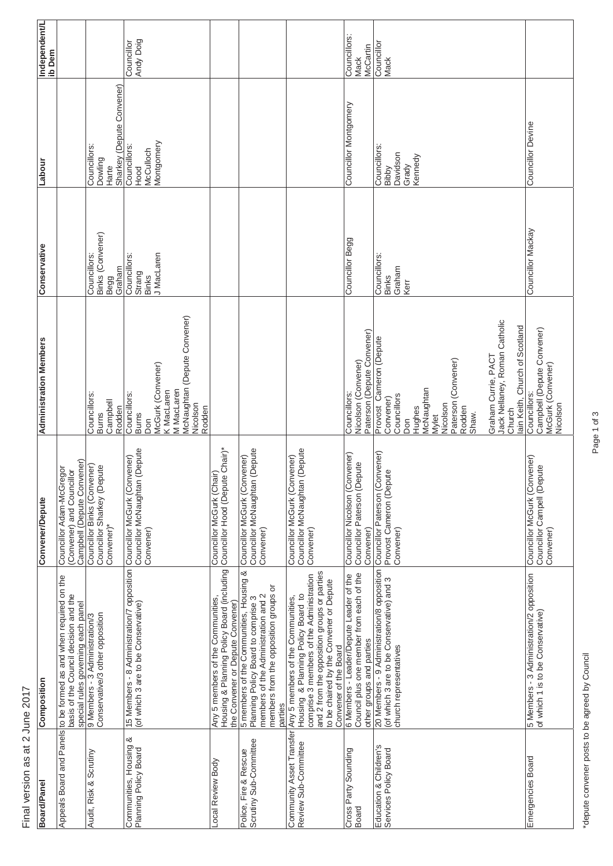**Independent/L**<br>ib Dem **Board/Panel Composition Convener/Depute Administration Members Conservative Labour Independent/L** Councillor Begg Councillor Montgomery Councillors: Councillors: Andy Doig Andy Doig **Councillor Councillor** Councillor Councillor McCartin McCartin Mack Mack Sharkey (Depute Convener) Sharkey (Depute Convener) Councillor Montgomery Councillor Mackay Councillor Devine **Councillor Devine** Councillors:<br>Dowling *<u>Iontgomery</u>* Montgomery Councillors: Councillors: Councillors: Councillors: Hood<br>McCulloch Councillors: McCulloch Bibby<br>Davidson Kennedy Davidson Labour Grady Harte Councillor Mackay 3inks (Convener) Binks (Convener) Councillor Begg Conservative Councillors: Councillors: Councillors: Councillors: MacLaren Councillors: J MacLaren Councillors: Graham Graham Strang Binks Binks Begg Kerr McNaughtan (Depute Convener) **McNaughtan (Depute Convener)** Jack Nellaney, Roman Catholic Jack Nellaney, Roman Catholic<br>Church Iain Keith, Church of Scotland ain Keith, Church of Scotland Councillors:<br>Campbell (Depute Convener) Campbell (Depute Convener) Paterson (Depute Convener) Paterson (Depute Convener) Provost Cameron (Depute Provost Cameron (Depute **Administration Members** Graham Currie, PACT Graham Currie, PACT Nicolson (Convener) Paterson (Convener) Paterson (Convener) Nicolson (Convener) McGurk (Convener) McGurk (Convener) McGurk (Convener) McGurk (Convener) Hughes<br>McNaughtan **(MacLaren** M MacLaren McNaughtan Councillors: Councillors: M MacLaren Councillors: Councillors: K MacLaren **Councillors** Councillors: Councillors: Councillors: Councillors Convener) Campbell Nicolson Nicolson Rodden Nicolson Rodden Rodden Burns Burns Shaw. Mylet Don Don Councillor McGurk (Convener)<br>Councillor McNaughtan (Depute<br>Convener) Councillor Hood (Depute Chair)\* Councillor McNaughtan (Depute Councillor McNaughtan (Depute Councillor McNaughtan (Depute Councillor McNaughtan (Depute Councillor McNaughtan (Depute Councillor Paterson (Convener) Housing & Planning Policy Board (including Councillor Hood (Depute Chair)\* 20 Members - 9 Administration/8 opposition Councillor Paterson (Convener)<br>(of which 3 are to be Conservative) and 3 Provost Cameron (Depute<br>church representatives Councillor Nicolson (Convener)<br>Councillor Paterson (Depute Councillor Nicolson (Convener) Councillor McGurk (Convener) Councillor McGurk (Convener) Councillor McGurk (Convener) Councillor McGurk (Convener) 15 Members - 8 Administration/7 opposition Councillor McGurk (Convener)<br>(of which 3 are to be Conservative)<br>Councillor McNaughtan (Deput Councillor McGurk (Convener) Councillor McGurk (Convener)<br>Councillor Campell (Depute Campbell (Depute Convener) Campbell (Depute Convener)<br>Councillor Binks (Convener)<br>Councillor Sharkey (Depute Councillor Binks (Convener) Councillor Paterson (Depute Councillor Sharkey (Depute Councillor Adam-McGregor Councillor Adam-McGregor Councillor Campell (Depute (Convener) and Councillor Convener) and Councillor Councillor McGurk (Chair) Provost Cameron (Depute Councillor McGurk (Chair) **Convener/Depute** Convener)\* Convener)\* Convener) Convener) Convener) Convener) Convener) 15 Members - 8 Administration/7 opposition Housing & Planning Policy Board (including 5 members of the Communities, Housing & 20 Members - 9 Administration/8 opposition 5 members of the Communities, Housing & and 2 from the opposition groups or parties and 2 from the opposition groups or parties 6 Members - Leader/Depute Leader of the<br>Council plus one member from each of the 5 Members - 3 Administration/2 opposition<br>of which 1 is to be Conservative) Housing & Planning Policy Board to<br>comprise 3 members of the Administration Council plus one member from each of the ppeals Board and Panels to be formed as and when required on the comprise 3 members of the Administration 6 Members - Leader/Depute Leader of the Emergencies Board 5 Members - 3 Administration/2 opposition Appeals Board and Panels to be formed as and when required on the (of which 3 are to be Conservative) and 3 to be chaired by the Convener or Depute to be chaired by the Convener or Depute nembers from the opposition groups or members from the opposition groups or basis of the Council decision and the members of the Administration and 2 Housing & Planning Policy Board to basis of the Council decision and the Local Review Body Any 5 members of the Communities, members of the Administration and 2 Any 5 members of the Communities, Any 5 members of the Communities, Planning Policy Board to comprise 3 Planning Policy Board to comprise 3 parties<br>Community Asset Transfer Any 5 members of the Communities, special rules governing each panel<br>9 Members - 3 Administration/3<br>Conservative/3 other opposition the Convener or Depute Convener) special rules governing each panel he Convener or Depute Convener) (of which 3 are to be Conservative) of which 1 is to be Conservative) Audit, Risk & Scrutiny 9 Members - 3 Administration/3 Conservative/3 other opposition other groups and parties other groups and parties Convener of the Board Convener of the Board church representatives church representatives Composition Community Asset Transfer Communities, Housing &<br>Planning Policy Board Communities, Housing & Scrutiny Sub-Committee Scrutiny Sub-Committee Review Sub-Committee Review Sub-Committee Education & Children's Education & Children's Planning Policy Board Cross Party Sounding Services Policy Board Audit, Risk & Scrutiny Police, Fire & Rescue Police, Fire & Rescue Cross Party Sounding Services Policy Board **Emergencies Board** ocal Review Body **Board/Panel** Board

Final version as at 2 June 2017

Final version as at 2 June 2017

Page 1 of 3 Page 1 of 3

\*depute convener posts to be agreed by Council depute convener posts to be agreed by Council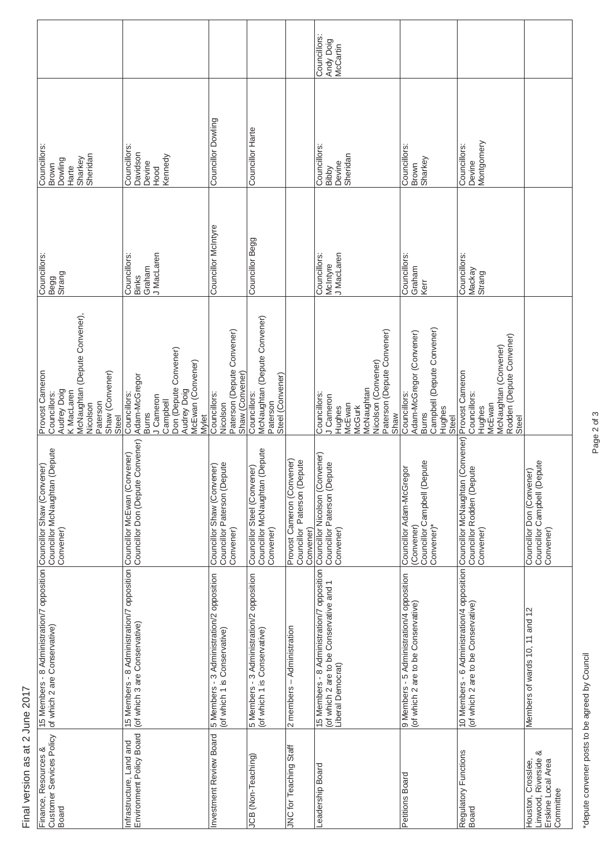| Final version as at 2                                                         | June 2017                                                                                                                                        |                                                                                     |                                                                                                                                                     |                                                     |                                                                 |                                       |
|-------------------------------------------------------------------------------|--------------------------------------------------------------------------------------------------------------------------------------------------|-------------------------------------------------------------------------------------|-----------------------------------------------------------------------------------------------------------------------------------------------------|-----------------------------------------------------|-----------------------------------------------------------------|---------------------------------------|
| Customer Services Policy<br>Finance, Resources &<br>Board                     | 15 Members - 8 Administration/7 opposition [Councillor Shaw (Convener)<br>of which 2 are Conservative)                                           | Councillor McNaughtan (Depute<br>Convener)                                          | McNaughtan (Depute Convener),<br>Provost Cameron<br>Shaw (Convener)<br>Audrey Doig<br>K MacLaren<br>Councillors:<br>Paterson<br>Nicolson<br>Steel   | Councillors<br>Begg<br>Strang                       | Councillors<br>Sheridan<br>Sharkey<br>Dowling<br>Brown<br>Harte |                                       |
| Environment Policy Board<br>nfrastructure, Land and                           | 15 Members - 8 Administration/7 opposition Councillor McEwan (Convener)<br>(of which 3 are Conservative)<br> Councillor Don Oppute Conver        | Councillor Don (Depute Convener)                                                    | Don (Depute Convener)<br>McEwan (Convener)<br>Adam-McGregor<br>Audrey Doig<br>Councillors:<br>J Cameron<br>Campbell<br><b>Burns</b><br><b>Mylet</b> | J MacLaren<br>Councillors<br>Graham<br><b>Binks</b> | Councillors<br>Davidson<br>Kennedy<br>Devine<br>Hood            |                                       |
| nvestment Review Board                                                        | 5 Members - 3 Administration/2 opposition<br>(of which 1 is Conservative)                                                                        | Councillor Paterson (Deputé<br>Convener)<br>/ener)<br>Councillor Shaw (Conv         | Paterson (Depute Convener)<br>Shaw (Convener)<br>Councillors:<br>Nicolson                                                                           | Councillor McIntyre                                 | Councillor Dowling                                              |                                       |
| JCB (Non-Teaching)                                                            | 5 Members - 3 Administration/2 opposition<br>(of which 1 is Conservative)                                                                        | Councillor McNaughtan (Depute<br>Councillor Steel (Convener)<br>Convener)           | McNaughtan (Depute Convener)<br>Steel (Convener)<br>Councillors:<br>Paterson                                                                        | Councillor Begg                                     | Councillor Harte                                                |                                       |
| JNC for Teaching Staff                                                        | $2$ members $-A$ dministration                                                                                                                   | Provost Cameron (Convener)<br>Paterson (Depute<br>Councillor<br>Convener)           |                                                                                                                                                     |                                                     |                                                                 |                                       |
| eadership Board                                                               | 15 Members - 8 Administration/7 opposition Councillor Nicolson (Convener)<br>(of which 2 are to be Conservative and 1<br>Liberal Democrat)       | Councillor Paterson (Depute<br>Convener)                                            | Paterson (Depute Convener)<br>Nicolson (Convener)<br>McNaughtan<br>Councillors:<br>J Cameron<br>McEwan<br>Hughes<br>McGurk<br>Shaw                  | J MacLaren<br>Councillors<br>McIntyre               | Councillors<br>Sheridan<br>Devine<br>Bibby                      | Councillors:<br>Andy Doig<br>McCartin |
| Petitions Board                                                               | 9 Members - 5 Administration/4 opposition<br>(of which 2 are to be Conservative)                                                                 | Councillor Campbell (Depute<br>Convener)*<br>Councillor Adam-McGregor<br>(Convener) | Campbell (Depute Convener)<br>Adam-McGregor (Convener)<br>Councillors:<br>Hughes<br>Burns<br>Steel                                                  | Councillors<br>Graham<br>Kerr                       | Councillors<br>Sharkey<br>Brown                                 |                                       |
| Regulatory Functions<br>Board                                                 | 10 Members - 6 Administration/4 opposition Councillor McNaughtan (Convener)<br>(of which 2 are to be Conservative)     Councillor Rodden (Depute | Convener)                                                                           | Rodden (Depute Convener)<br>McNaughtan (Convener)<br>Provost Cameron<br>Councillors:<br>McEwan<br>Hughes<br>Steel                                   | <b>Councillors:</b><br>Mackay<br>Strang             | Montgomery<br>Councillors:<br>Devine                            |                                       |
| Linwood, Riverside &<br>Erskine Local Area<br>Houston, Crosslee,<br>Committee | Members of wards 10, 11 and 12                                                                                                                   | Councillor Don (Convener)<br>Councillor Campbell (Depute<br>Convener)               |                                                                                                                                                     |                                                     |                                                                 |                                       |

Page 2 of 3 Page 2 of 3

\*depute convener posts to be agreed by Council \*depute convener posts to be agreed by Council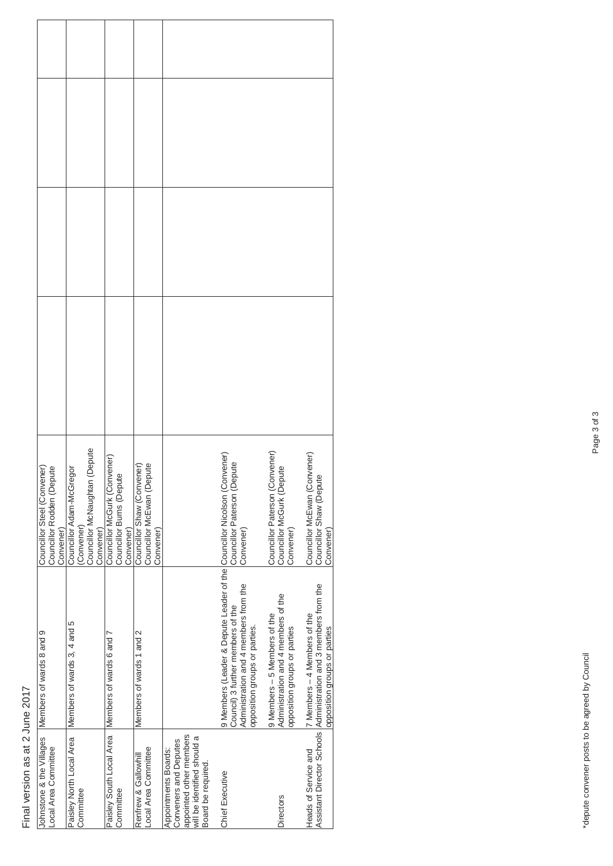## Final version as at 2 June 2017 Final version as at 2 June 2017

| Johnstone & the Villages<br>-ocal Area Committee                                                                              | Members of wards 8 and 9                                                                                                                                                          | Councillor Rodden (Depute<br>Councillor Steel (Convener)<br>Convener)                |  |
|-------------------------------------------------------------------------------------------------------------------------------|-----------------------------------------------------------------------------------------------------------------------------------------------------------------------------------|--------------------------------------------------------------------------------------|--|
| Paisley North Local Area<br>Committee                                                                                         | Members of wards 3, 4 and 5                                                                                                                                                       | Councillor McNaughtan (Depute<br>Councillor Adam-McGregor<br>(Convener)<br>Convener) |  |
| Paisley South Local Area<br>Committee                                                                                         | Members of wards 6 and 7                                                                                                                                                          | Councillor McGurk (Convener)<br>Councillor Burns (Depute<br>Convener)                |  |
| ocal Area Committee<br>Renfrew & Gallowhill                                                                                   | Members of wards 1 and 2                                                                                                                                                          | Councillor Shaw (Convener)<br>Councillor McEwan (Depute<br>Convener                  |  |
| appointed other members<br>will be identified should a<br>Conveners and Deputes<br>Appointments Boards:<br>Board be required. |                                                                                                                                                                                   |                                                                                      |  |
| Chief Executive                                                                                                               | 9 Members (Leader & Depute Leader of the Councillor Nicolson (Conv<br>Administration and 4 members from the<br>Council) 3 further members of the<br>opposition groups or parties. | Councillor Paterson (Convener)<br>Convener)<br>Convener                              |  |
| Directors                                                                                                                     | Administration and 4 members of the<br>9 Members - 5 Members of the<br>opposition groups or parties                                                                               | בייטווסן McGurk (Depute)<br> Councillor McGurk (Depute)<br>Convener<br>Convener)     |  |
| Heads of Service and                                                                                                          | Assistant Director Schools Administration and 3 members from the<br>7 Members - 4 Members of the<br>opposition groups or parties                                                  | rener)<br>Councillor McEwan (Conv<br>Councillor Shaw (Depute<br>Convener)            |  |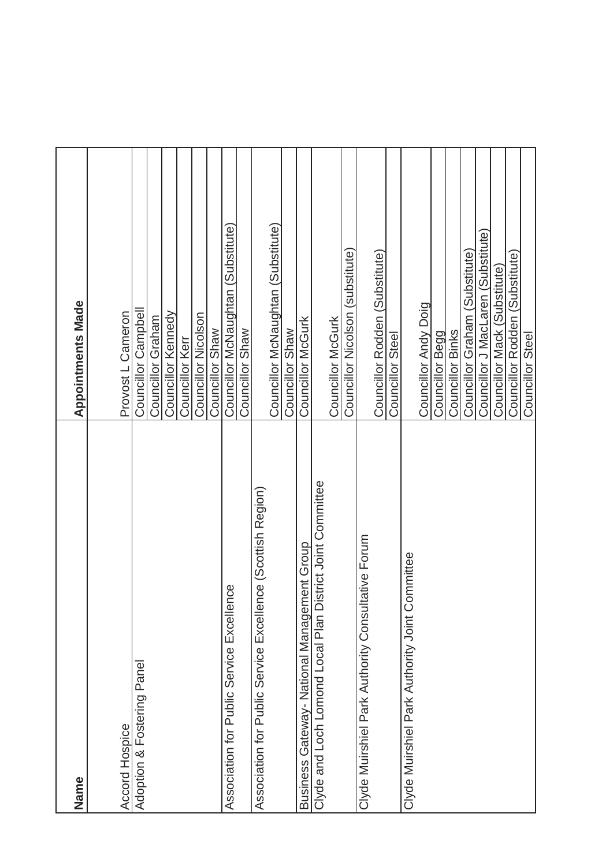| Name                                                            | <b>Appointments Made</b>           |
|-----------------------------------------------------------------|------------------------------------|
| Accord Hospice                                                  | Provost L Cameron                  |
| Adoption & Fostering Panel                                      | Councillor Campbell                |
|                                                                 | Councillor Graham                  |
|                                                                 | Councillor Kennedy                 |
|                                                                 | Councillor Kerr                    |
|                                                                 | Councillor Nicolson                |
|                                                                 | Councillor Shaw                    |
| lence<br>Association for Public Service Excel                   | Councillor McNaughtan (Substitute) |
|                                                                 | Councillor Shaw                    |
| lence (Scottish Region)<br>Association for Public Service Excel |                                    |
|                                                                 | Councillor McNaughtan (Substitute) |
|                                                                 | Councillor Shaw                    |
| Business Gateway- National Management Group                     | Councillor McGurk                  |
| District Joint Committee<br>Clyde and Loch Lomond Local Plan    |                                    |
|                                                                 | Councillor McGurk                  |
|                                                                 | Councillor Nicolson (substitute)   |
| Clyde Muirshiel Park Authority Consultative Forum               |                                    |
|                                                                 | Councillor Rodden (Substitute)     |
|                                                                 | Councillor Steel                   |
| Committee<br>Clyde Muirshiel Park Authority Joint               |                                    |
|                                                                 | Councillor Andy Doig               |
|                                                                 | Councillor Begg                    |
|                                                                 | Councillor Binks                   |
|                                                                 | Councillor Graham (Substitute)     |
|                                                                 | Councillor J MacLaren (Substitute) |
|                                                                 | Councillor Mack (Substitute)       |
|                                                                 | Councillor Rodden (Substitute)     |
|                                                                 | Councillor Steel                   |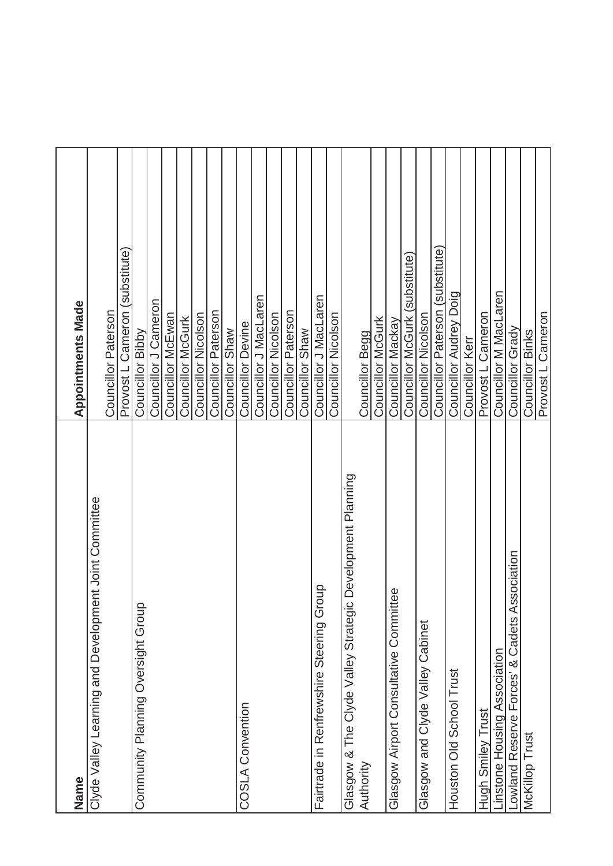| Name                                                      | <b>Appointments Made</b>         |
|-----------------------------------------------------------|----------------------------------|
| Clyde Valley Learning and Development Joint Committee     | Councillor Paterson              |
|                                                           | Provost L Cameron (substitute)   |
| Community Planning Oversight Group                        | Councillor Bibby                 |
|                                                           | Councillor J Cameron             |
|                                                           | Councillor McEwan                |
|                                                           | Councillor McGurk                |
|                                                           | Councillor Nicolson              |
|                                                           | Councillor Paterson              |
|                                                           | Councillor Shaw                  |
| <b>COSLA Convention</b>                                   | Councillor Devine                |
|                                                           | Councillor J MacLaren            |
|                                                           | Councillor Nicolson              |
|                                                           | Councillor Paterson              |
|                                                           | Councillor Shaw                  |
| Fairtrade in Renfrewshire Steering Group                  | Councillor J MacLaren            |
|                                                           | Councillor Nicolson              |
| Glasgow & The Clyde Valley Strategic Development Planning |                                  |
| Authority                                                 | Councillor Begg                  |
|                                                           | <b>Councillor McGurk</b>         |
| Glasgow Airport Consultative Committee                    | Councillor Mackay                |
|                                                           | Councillor McGurk (substitute)   |
| Glasgow and Clyde Valley Cabinet                          | Councillor Nicolson              |
|                                                           | Councillor Paterson (substitute) |
| Houston Old School Trust                                  | Councillor Audrey Doig           |
|                                                           | Councillor Kerr                  |
| Hugh Smiley Trust                                         | Provost L Cameron                |
| instone Housing Association                               | Councillor M MacLaren            |
| Association<br>owland Reserve Forces' & Cadets            | Councillor Grady                 |
| McKillop Trust                                            | Councillor Binks                 |
|                                                           | Provost L Cameron                |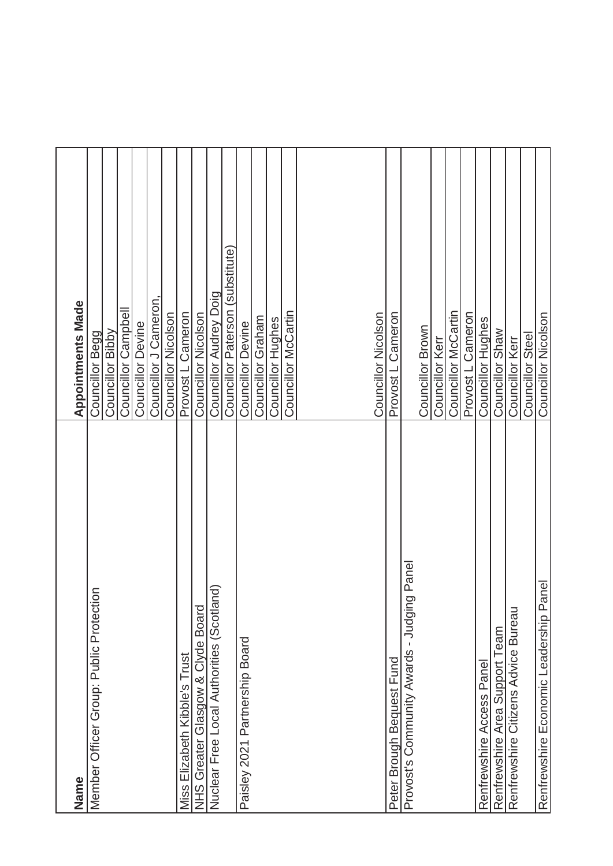| Name                                            | <b>Appointments Made</b>         |
|-------------------------------------------------|----------------------------------|
| Member Officer Group: Public Protection         | Councillor Begg                  |
|                                                 | Councillor Bibby                 |
|                                                 | Councillor Campbell              |
|                                                 | <b>Councillor Devine</b>         |
|                                                 | Councillor J Cameron             |
|                                                 | Councillor Nicolson              |
| Miss Elizabeth Kibble's Trust                   | Provost L Cameron                |
| NHS Greater Glasgow & Clyde Board               | <b>Councillor Nicolson</b>       |
| Nuclear Free Local Authorities (Scotland)       | Councillor Audrey Doig           |
|                                                 | Councillor Paterson (substitute) |
| Paisley 2021 Partnership Board                  | <b>Councillor Devine</b>         |
|                                                 | Councillor Graham                |
|                                                 | Councillor<br>Hughes             |
|                                                 | Councillor McCartin              |
|                                                 |                                  |
|                                                 |                                  |
|                                                 |                                  |
|                                                 |                                  |
|                                                 | Councillor Nicolson              |
| Peter Brough Bequest Fund                       | Cameron<br>Provost L             |
| ing Panel<br>Provost's Community Awards - Judgi |                                  |
|                                                 | Councillor Brown                 |
|                                                 | Councillor Kerr                  |
|                                                 | Councillor McCartin              |
|                                                 | Provost L Cameron                |
| Renfrewshire Access Panel                       | <b>Councillor Hughes</b>         |
| Renfrewshire Area Support Team                  | Councillor Shaw                  |
| Renfrewshire Citizens Advice Bureau             | Councillor Kerr                  |
|                                                 | Councillor Steel                 |
| Panel<br>Renfrewshire Economic Leadership       | Councillor Nicolson              |
|                                                 |                                  |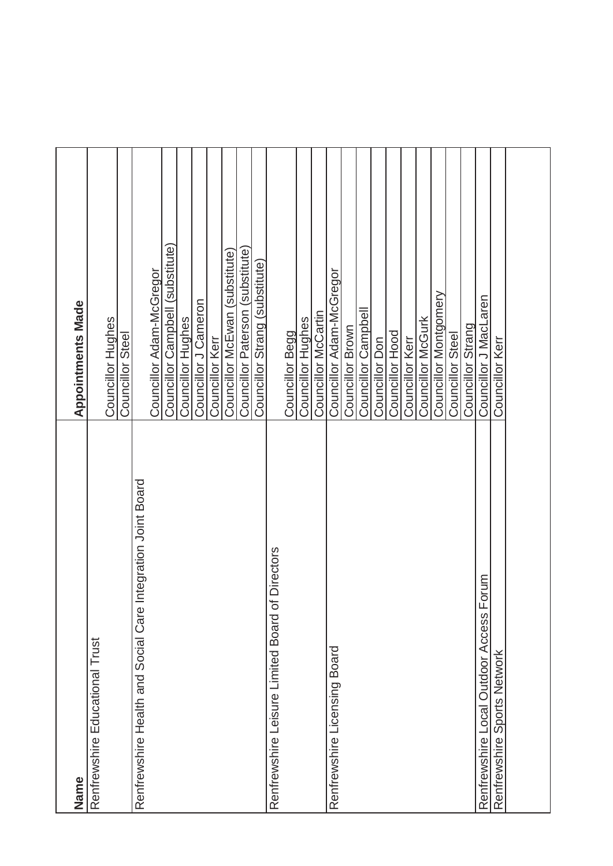| <b>Appointments Made</b> | Councillor Hughes              | Councillor Steel |                                                             | Councillor Adam-McGregor | Councillor Campbell (substitute)<br>Councillor<br>Hughes | Councillor J Cameron | Councillor Kerr | Councillor McEwan (substitute) | Councillor Paterson (substitute) | Councillor Strang (substitute) |                                                    | Councillor Begg | Councillor<br>Hughes | Councillor McCartin | Councillor Adam-McGregor     | Councillor Brown | Councillor Campbell | Councillor Don | Councillor Hood | Councillor Kerr | Councillor McGurk | Councillor Montgomery | Councillor Steel | Councillor Strang | Councillor J MacLaren                      | Councillor Kerr                |
|--------------------------|--------------------------------|------------------|-------------------------------------------------------------|--------------------------|----------------------------------------------------------|----------------------|-----------------|--------------------------------|----------------------------------|--------------------------------|----------------------------------------------------|-----------------|----------------------|---------------------|------------------------------|------------------|---------------------|----------------|-----------------|-----------------|-------------------|-----------------------|------------------|-------------------|--------------------------------------------|--------------------------------|
| Name                     | Renfrewshire Educational Trust |                  | Renfrewshire Health and Social Care Integration Joint Board |                          |                                                          |                      |                 |                                |                                  |                                | of Directors<br>Renfrewshire Leisure Limited Board |                 |                      |                     | Renfrewshire Licensing Board |                  |                     |                |                 |                 |                   |                       |                  |                   | Forum<br>Renfrewshire Local Outdoor Access | Sports Network<br>Renfrewshire |